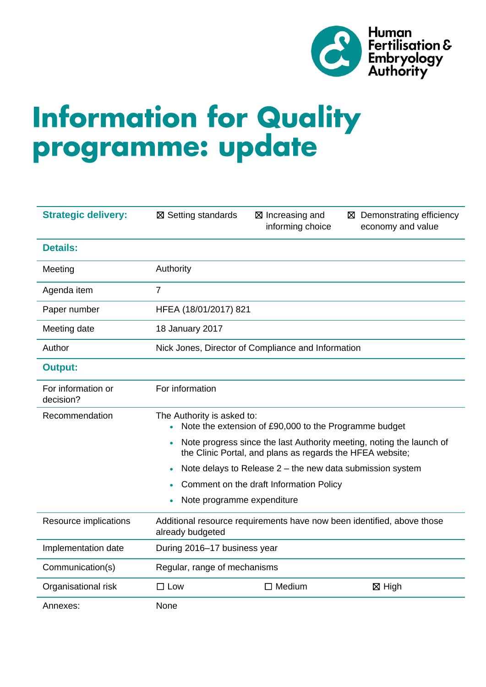

# **Information for Quality<br>programme: update**

| <b>Strategic delivery:</b>      | ⊠ Setting standards                                                                                                                            | $\boxtimes$ Increasing and<br>informing choice | Demonstrating efficiency<br>⊠<br>economy and value |  |  |  |  |
|---------------------------------|------------------------------------------------------------------------------------------------------------------------------------------------|------------------------------------------------|----------------------------------------------------|--|--|--|--|
| <b>Details:</b>                 |                                                                                                                                                |                                                |                                                    |  |  |  |  |
| Meeting                         | Authority                                                                                                                                      |                                                |                                                    |  |  |  |  |
| Agenda item                     | $\overline{7}$                                                                                                                                 |                                                |                                                    |  |  |  |  |
| Paper number                    | HFEA (18/01/2017) 821                                                                                                                          |                                                |                                                    |  |  |  |  |
| Meeting date                    | 18 January 2017                                                                                                                                |                                                |                                                    |  |  |  |  |
| Author                          | Nick Jones, Director of Compliance and Information                                                                                             |                                                |                                                    |  |  |  |  |
| <b>Output:</b>                  |                                                                                                                                                |                                                |                                                    |  |  |  |  |
| For information or<br>decision? | For information                                                                                                                                |                                                |                                                    |  |  |  |  |
| Recommendation                  | The Authority is asked to:<br>Note the extension of £90,000 to the Programme budget<br>$\bullet$                                               |                                                |                                                    |  |  |  |  |
|                                 | Note progress since the last Authority meeting, noting the launch of<br>$\bullet$<br>the Clinic Portal, and plans as regards the HFEA website; |                                                |                                                    |  |  |  |  |
|                                 | Note delays to Release 2 - the new data submission system<br>$\bullet$                                                                         |                                                |                                                    |  |  |  |  |
|                                 | Comment on the draft Information Policy<br>$\bullet$                                                                                           |                                                |                                                    |  |  |  |  |
|                                 | Note programme expenditure<br>$\bullet$                                                                                                        |                                                |                                                    |  |  |  |  |
| Resource implications           | Additional resource requirements have now been identified, above those<br>already budgeted                                                     |                                                |                                                    |  |  |  |  |
| Implementation date             | During 2016-17 business year                                                                                                                   |                                                |                                                    |  |  |  |  |
| Communication(s)                | Regular, range of mechanisms                                                                                                                   |                                                |                                                    |  |  |  |  |
| Organisational risk             | $\Box$ Low                                                                                                                                     | $\Box$ Medium                                  | $\boxtimes$ High                                   |  |  |  |  |
| Annexes:                        | None                                                                                                                                           |                                                |                                                    |  |  |  |  |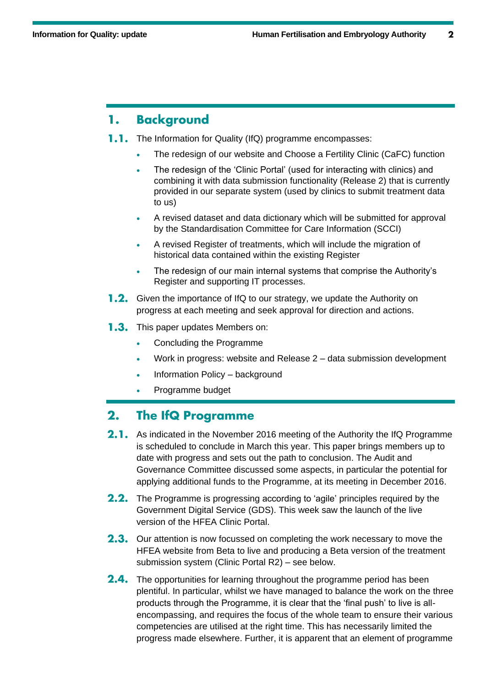## **Background** 1.

- $1.1.$ The Information for Quality (IfQ) programme encompasses:
	- The redesign of our website and Choose a Fertility Clinic (CaFC) function
	- The redesign of the 'Clinic Portal' (used for interacting with clinics) and combining it with data submission functionality (Release 2) that is currently provided in our separate system (used by clinics to submit treatment data to us)
	- A revised dataset and data dictionary which will be submitted for approval by the Standardisation Committee for Care Information (SCCI)
	- A revised Register of treatments, which will include the migration of historical data contained within the existing Register
	- The redesign of our main internal systems that comprise the Authority's Register and supporting IT processes.
- **1.2.** Given the importance of IfQ to our strategy, we update the Authority on progress at each meeting and seek approval for direction and actions.
- **1.3.** This paper updates Members on:
	- Concluding the Programme
	- Work in progress: website and Release 2 data submission development
	- Information Policy background
	- Programme budget

#### $2.$ **The IfQ Programme**

- 2.1. As indicated in the November 2016 meeting of the Authority the IfQ Programme is scheduled to conclude in March this year. This paper brings members up to date with progress and sets out the path to conclusion. The Audit and Governance Committee discussed some aspects, in particular the potential for applying additional funds to the Programme, at its meeting in December 2016.
- 2.2. The Programme is progressing according to 'agile' principles required by the Government Digital Service (GDS). This week saw the launch of the live version of the HFEA Clinic Portal.
- 2.3. Our attention is now focussed on completing the work necessary to move the HFEA website from Beta to live and producing a Beta version of the treatment submission system (Clinic Portal R2) – see below.
- $2.4.$ The opportunities for learning throughout the programme period has been plentiful. In particular, whilst we have managed to balance the work on the three products through the Programme, it is clear that the 'final push' to live is allencompassing, and requires the focus of the whole team to ensure their various competencies are utilised at the right time. This has necessarily limited the progress made elsewhere. Further, it is apparent that an element of programme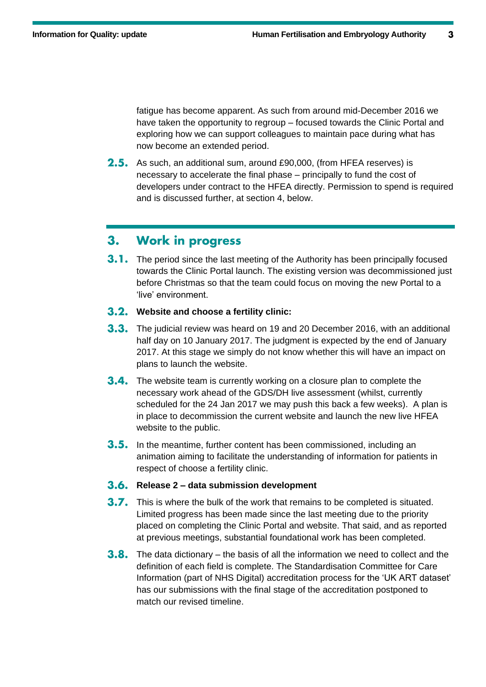fatigue has become apparent. As such from around mid-December 2016 we have taken the opportunity to regroup – focused towards the Clinic Portal and exploring how we can support colleagues to maintain pace during what has now become an extended period.

**2.5.** As such, an additional sum, around £90,000, (from HFEA reserves) is necessary to accelerate the final phase – principally to fund the cost of developers under contract to the HFEA directly. Permission to spend is required and is discussed further, at section 4, below.

### **Work in progress**  $3.$

**3.1.** The period since the last meeting of the Authority has been principally focused towards the Clinic Portal launch. The existing version was decommissioned just before Christmas so that the team could focus on moving the new Portal to a 'live' environment.

# **Website and choose a fertility clinic:**

- **3.3.** The judicial review was heard on 19 and 20 December 2016, with an additional half day on 10 January 2017. The judgment is expected by the end of January 2017. At this stage we simply do not know whether this will have an impact on plans to launch the website.
- **3.4.** The website team is currently working on a closure plan to complete the necessary work ahead of the GDS/DH live assessment (whilst, currently scheduled for the 24 Jan 2017 we may push this back a few weeks). A plan is in place to decommission the current website and launch the new live HFEA website to the public.
- **3.5.** In the meantime, further content has been commissioned, including an animation aiming to facilitate the understanding of information for patients in respect of choose a fertility clinic.

# **Release 2 – data submission development**

- **3.7.** This is where the bulk of the work that remains to be completed is situated. Limited progress has been made since the last meeting due to the priority placed on completing the Clinic Portal and website. That said, and as reported at previous meetings, substantial foundational work has been completed.
- **3.8.** The data dictionary the basis of all the information we need to collect and the definition of each field is complete. The Standardisation Committee for Care Information (part of NHS Digital) accreditation process for the 'UK ART dataset' has our submissions with the final stage of the accreditation postponed to match our revised timeline.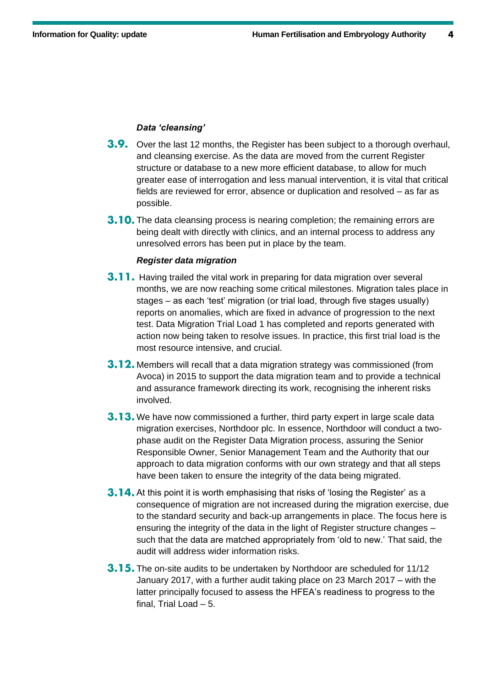## *Data 'cleansing'*

- **3.9.** Over the last 12 months, the Register has been subject to a thorough overhaul, and cleansing exercise. As the data are moved from the current Register structure or database to a new more efficient database, to allow for much greater ease of interrogation and less manual intervention, it is vital that critical fields are reviewed for error, absence or duplication and resolved – as far as possible.
- **3.10.** The data cleansing process is nearing completion; the remaining errors are being dealt with directly with clinics, and an internal process to address any unresolved errors has been put in place by the team.

## *Register data migration*

- **3.11.** Having trailed the vital work in preparing for data migration over several months, we are now reaching some critical milestones. Migration tales place in stages – as each 'test' migration (or trial load, through five stages usually) reports on anomalies, which are fixed in advance of progression to the next test. Data Migration Trial Load 1 has completed and reports generated with action now being taken to resolve issues. In practice, this first trial load is the most resource intensive, and crucial.
- 3.12. Members will recall that a data migration strategy was commissioned (from Avoca) in 2015 to support the data migration team and to provide a technical and assurance framework directing its work, recognising the inherent risks involved.
- 3.13. We have now commissioned a further, third party expert in large scale data migration exercises, Northdoor plc. In essence, Northdoor will conduct a twophase audit on the Register Data Migration process, assuring the Senior Responsible Owner, Senior Management Team and the Authority that our approach to data migration conforms with our own strategy and that all steps have been taken to ensure the integrity of the data being migrated.
- **3.14.** At this point it is worth emphasising that risks of 'losing the Register' as a consequence of migration are not increased during the migration exercise, due to the standard security and back-up arrangements in place. The focus here is ensuring the integrity of the data in the light of Register structure changes – such that the data are matched appropriately from 'old to new.' That said, the audit will address wider information risks.
- **3.15.** The on-site audits to be undertaken by Northdoor are scheduled for 11/12 January 2017, with a further audit taking place on 23 March 2017 – with the latter principally focused to assess the HFEA's readiness to progress to the final, Trial Load – 5.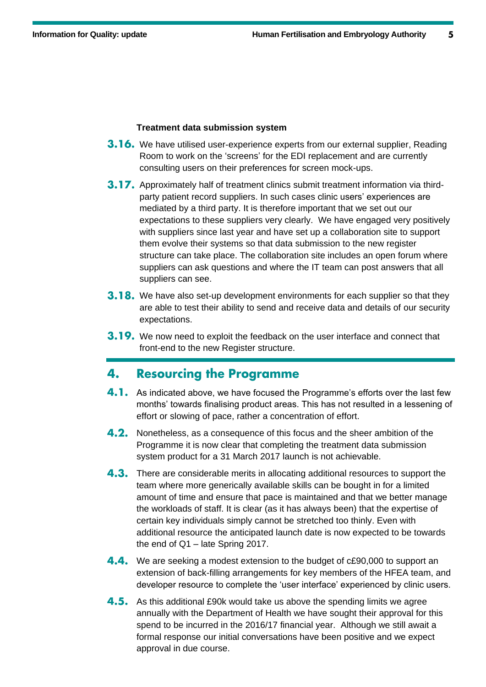## **Treatment data submission system**

- **3.16.** We have utilised user-experience experts from our external supplier, Reading Room to work on the 'screens' for the EDI replacement and are currently consulting users on their preferences for screen mock-ups.
- **3.17.** Approximately half of treatment clinics submit treatment information via thirdparty patient record suppliers. In such cases clinic users' experiences are mediated by a third party. It is therefore important that we set out our expectations to these suppliers very clearly. We have engaged very positively with suppliers since last year and have set up a collaboration site to support them evolve their systems so that data submission to the new register structure can take place. The collaboration site includes an open forum where suppliers can ask questions and where the IT team can post answers that all suppliers can see.
- **3.18.** We have also set-up development environments for each supplier so that they are able to test their ability to send and receive data and details of our security expectations.
- **3.19.** We now need to exploit the feedback on the user interface and connect that front-end to the new Register structure.

#### **Resourcing the Programme** 4.

- **4.1.** As indicated above, we have focused the Programme's efforts over the last few months' towards finalising product areas. This has not resulted in a lessening of effort or slowing of pace, rather a concentration of effort.
- **4.2.** Nonetheless, as a consequence of this focus and the sheer ambition of the Programme it is now clear that completing the treatment data submission system product for a 31 March 2017 launch is not achievable.
- **4.3.** There are considerable merits in allocating additional resources to support the team where more generically available skills can be bought in for a limited amount of time and ensure that pace is maintained and that we better manage the workloads of staff. It is clear (as it has always been) that the expertise of certain key individuals simply cannot be stretched too thinly. Even with additional resource the anticipated launch date is now expected to be towards the end of Q1 – late Spring 2017.
- **4.4.** We are seeking a modest extension to the budget of c£90,000 to support an extension of back-filling arrangements for key members of the HFEA team, and developer resource to complete the 'user interface' experienced by clinic users.
- **4.5.** As this additional £90k would take us above the spending limits we agree annually with the Department of Health we have sought their approval for this spend to be incurred in the 2016/17 financial year. Although we still await a formal response our initial conversations have been positive and we expect approval in due course.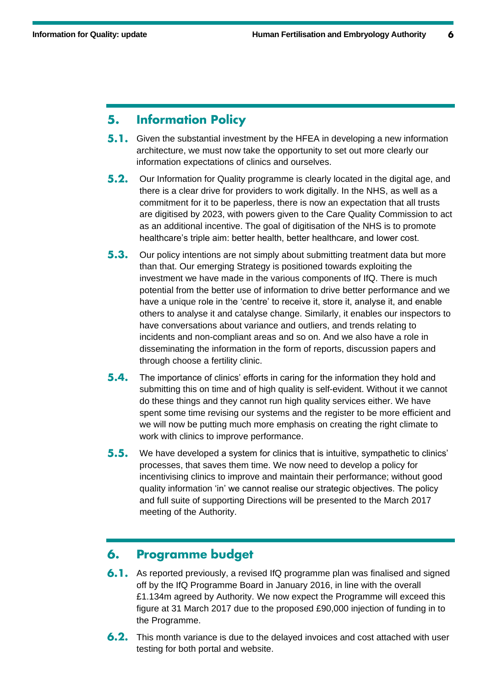## **Information Policy** 5.

- **5.1.** Given the substantial investment by the HFEA in developing a new information architecture, we must now take the opportunity to set out more clearly our information expectations of clinics and ourselves.
- $5.2.$ Our Information for Quality programme is clearly located in the digital age, and there is a clear drive for providers to work digitally. In the NHS, as well as a commitment for it to be paperless, there is now an expectation that all trusts are digitised by 2023, with powers given to the Care Quality Commission to act as an additional incentive. The goal of digitisation of the NHS is to promote healthcare's triple aim: better health, better healthcare, and lower cost.
- $5.3.$ Our policy intentions are not simply about submitting treatment data but more than that. Our emerging Strategy is positioned towards exploiting the investment we have made in the various components of IfQ. There is much potential from the better use of information to drive better performance and we have a unique role in the 'centre' to receive it, store it, analyse it, and enable others to analyse it and catalyse change. Similarly, it enables our inspectors to have conversations about variance and outliers, and trends relating to incidents and non-compliant areas and so on. And we also have a role in disseminating the information in the form of reports, discussion papers and through choose a fertility clinic.
- $5.4.$ The importance of clinics' efforts in caring for the information they hold and submitting this on time and of high quality is self-evident. Without it we cannot do these things and they cannot run high quality services either. We have spent some time revising our systems and the register to be more efficient and we will now be putting much more emphasis on creating the right climate to work with clinics to improve performance.
- $5.5.$ We have developed a system for clinics that is intuitive, sympathetic to clinics' processes, that saves them time. We now need to develop a policy for incentivising clinics to improve and maintain their performance; without good quality information 'in' we cannot realise our strategic objectives. The policy and full suite of supporting Directions will be presented to the March 2017 meeting of the Authority.

## **Programme budget** 6.

- **6.1.** As reported previously, a revised IfQ programme plan was finalised and signed off by the IfQ Programme Board in January 2016, in line with the overall £1.134m agreed by Authority. We now expect the Programme will exceed this figure at 31 March 2017 due to the proposed £90,000 injection of funding in to the Programme.
- **6.2.** This month variance is due to the delayed invoices and cost attached with user testing for both portal and website.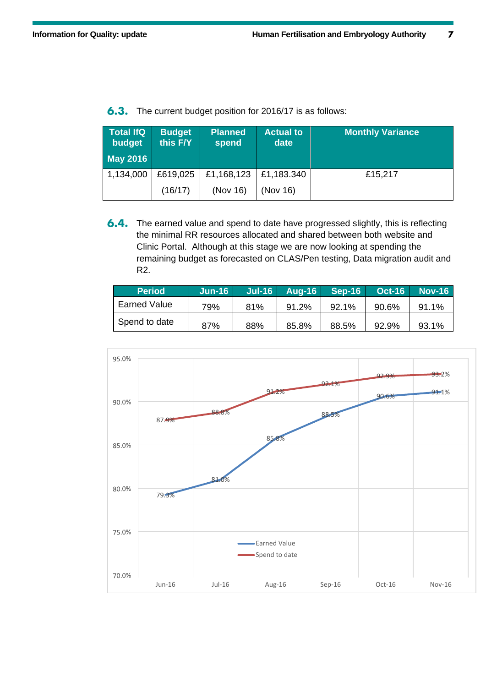| <b>Total IfQ</b><br>budget<br><b>May 2016</b> | <b>Budget</b><br>this F/Y | <b>Planned</b><br>spend | <b>Actual to</b><br>date | <b>Monthly Variance</b> |
|-----------------------------------------------|---------------------------|-------------------------|--------------------------|-------------------------|
| 1,134,000                                     | £619,025                  | £1,168,123              | £1,183.340               | £15,217                 |

**6.3.** The current budget position for 2016/17 is as follows:

(Nov 16)

(16/17)

**6.4.** The earned value and spend to date have progressed slightly, this is reflecting the minimal RR resources allocated and shared between both website and Clinic Portal. Although at this stage we are now looking at spending the remaining budget as forecasted on CLAS/Pen testing, Data migration audit and R2.

(Nov 16)

| <b>Period</b> | $Jun-16$ | $Jul-16$ | <b>Aug-16</b> | $Sep-16$ | <b>Oct-16</b> | <b>Nov-16</b> |
|---------------|----------|----------|---------------|----------|---------------|---------------|
| Earned Value  | 79%      | 81%      | 91.2%         | 92.1%    | 90.6%         | 91.1%         |
| Spend to date | 87%      | 88%      | 85.8%         | 88.5%    | 92.9%         | 93.1%         |